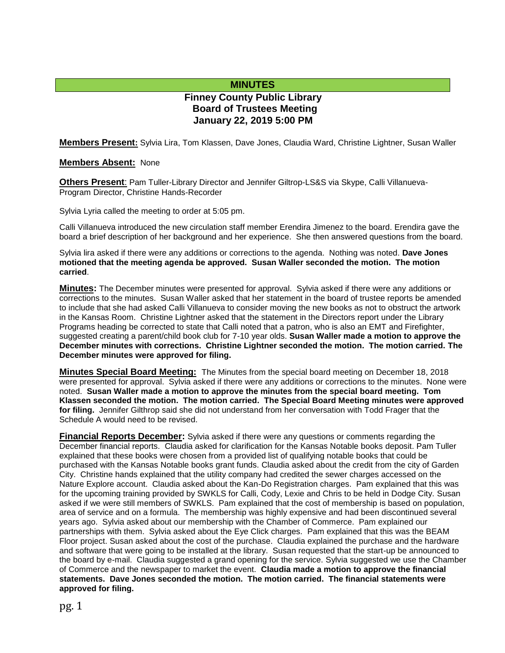## **MINUTES**

# **Finney County Public Library Board of Trustees Meeting January 22, 2019 5:00 PM**

**Members Present:** Sylvia Lira, Tom Klassen, Dave Jones, Claudia Ward, Christine Lightner, Susan Waller

#### **Members Absent:** None

**Others Present**: Pam Tuller-Library Director and Jennifer Giltrop-LS&S via Skype, Calli Villanueva-Program Director, Christine Hands-Recorder

Sylvia Lyria called the meeting to order at 5:05 pm.

Calli Villanueva introduced the new circulation staff member Erendira Jimenez to the board. Erendira gave the board a brief description of her background and her experience. She then answered questions from the board.

Sylvia lira asked if there were any additions or corrections to the agenda. Nothing was noted. **Dave Jones motioned that the meeting agenda be approved. Susan Waller seconded the motion. The motion carried**.

**Minutes:** The December minutes were presented for approval. Sylvia asked if there were any additions or corrections to the minutes. Susan Waller asked that her statement in the board of trustee reports be amended to include that she had asked Calli Villanueva to consider moving the new books as not to obstruct the artwork in the Kansas Room. Christine Lightner asked that the statement in the Directors report under the Library Programs heading be corrected to state that Calli noted that a patron, who is also an EMT and Firefighter, suggested creating a parent/child book club for 7-10 year olds. **Susan Waller made a motion to approve the December minutes with corrections. Christine Lightner seconded the motion. The motion carried. The December minutes were approved for filing.** 

**Minutes Special Board Meeting:** The Minutes from the special board meeting on December 18, 2018 were presented for approval. Sylvia asked if there were any additions or corrections to the minutes. None were noted. **Susan Waller made a motion to approve the minutes from the special board meeting. Tom Klassen seconded the motion. The motion carried. The Special Board Meeting minutes were approved for filing.** Jennifer Gilthrop said she did not understand from her conversation with Todd Frager that the Schedule A would need to be revised.

**Financial Reports December:** Sylvia asked if there were any questions or comments regarding the December financial reports. Claudia asked for clarification for the Kansas Notable books deposit. Pam Tuller explained that these books were chosen from a provided list of qualifying notable books that could be purchased with the Kansas Notable books grant funds. Claudia asked about the credit from the city of Garden City. Christine hands explained that the utility company had credited the sewer charges accessed on the Nature Explore account. Claudia asked about the Kan-Do Registration charges. Pam explained that this was for the upcoming training provided by SWKLS for Calli, Cody, Lexie and Chris to be held in Dodge City. Susan asked if we were still members of SWKLS. Pam explained that the cost of membership is based on population, area of service and on a formula. The membership was highly expensive and had been discontinued several years ago. Sylvia asked about our membership with the Chamber of Commerce. Pam explained our partnerships with them. Sylvia asked about the Eye Click charges. Pam explained that this was the BEAM Floor project. Susan asked about the cost of the purchase. Claudia explained the purchase and the hardware and software that were going to be installed at the library. Susan requested that the start-up be announced to the board by e-mail. Claudia suggested a grand opening for the service. Sylvia suggested we use the Chamber of Commerce and the newspaper to market the event. **Claudia made a motion to approve the financial statements. Dave Jones seconded the motion. The motion carried. The financial statements were approved for filing.**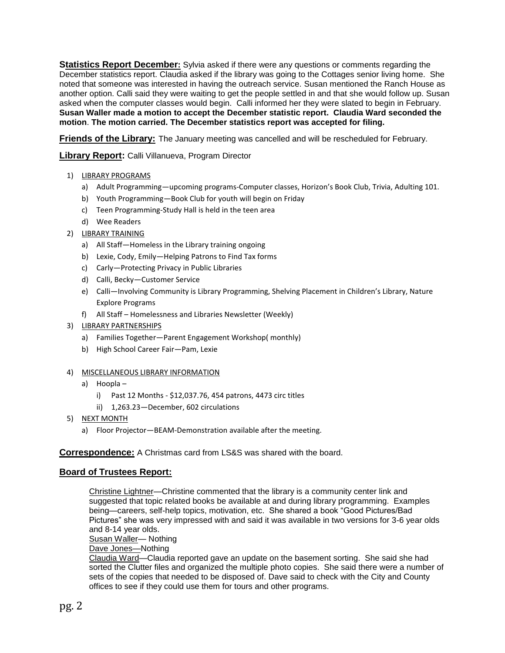**Statistics Report December:** Sylvia asked if there were any questions or comments regarding the December statistics report. Claudia asked if the library was going to the Cottages senior living home. She noted that someone was interested in having the outreach service. Susan mentioned the Ranch House as another option. Calli said they were waiting to get the people settled in and that she would follow up. Susan asked when the computer classes would begin. Calli informed her they were slated to begin in February. **Susan Waller made a motion to accept the December statistic report. Claudia Ward seconded the motion**. **The motion carried. The December statistics report was accepted for filing.**

**Friends of the Library:** The January meeting was cancelled and will be rescheduled for February.

**Library Report:** Calli Villanueva, Program Director

- 1) LIBRARY PROGRAMS
	- a) Adult Programming—upcoming programs-Computer classes, Horizon's Book Club, Trivia, Adulting 101.
	- b) Youth Programming—Book Club for youth will begin on Friday
	- c) Teen Programming-Study Hall is held in the teen area
	- d) Wee Readers
- 2) LIBRARY TRAINING
	- a) All Staff—Homeless in the Library training ongoing
	- b) Lexie, Cody, Emily—Helping Patrons to Find Tax forms
	- c) Carly—Protecting Privacy in Public Libraries
	- d) Calli, Becky—Customer Service
	- e) Calli—Involving Community is Library Programming, Shelving Placement in Children's Library, Nature Explore Programs
	- f) All Staff Homelessness and Libraries Newsletter (Weekly)
- 3) LIBRARY PARTNERSHIPS
	- a) Families Together—Parent Engagement Workshop( monthly)
	- b) High School Career Fair—Pam, Lexie

#### 4) MISCELLANEOUS LIBRARY INFORMATION

- a) Hoopla
	- i) Past 12 Months \$12,037.76, 454 patrons, 4473 circ titles
	- ii) 1,263.23—December, 602 circulations
- 5) NEXT MONTH
	- a) Floor Projector—BEAM-Demonstration available after the meeting.

### **Correspondence:** A Christmas card from LS&S was shared with the board.

### **Board of Trustees Report:**

Christine Lightner—Christine commented that the library is a community center link and suggested that topic related books be available at and during library programming. Examples being—careers, self-help topics, motivation, etc. She shared a book "Good Pictures/Bad Pictures" she was very impressed with and said it was available in two versions for 3-6 year olds and 8-14 year olds.

Susan Waller— Nothing

Dave Jones-Nothing

Claudia Ward—Claudia reported gave an update on the basement sorting. She said she had sorted the Clutter files and organized the multiple photo copies. She said there were a number of sets of the copies that needed to be disposed of. Dave said to check with the City and County offices to see if they could use them for tours and other programs.